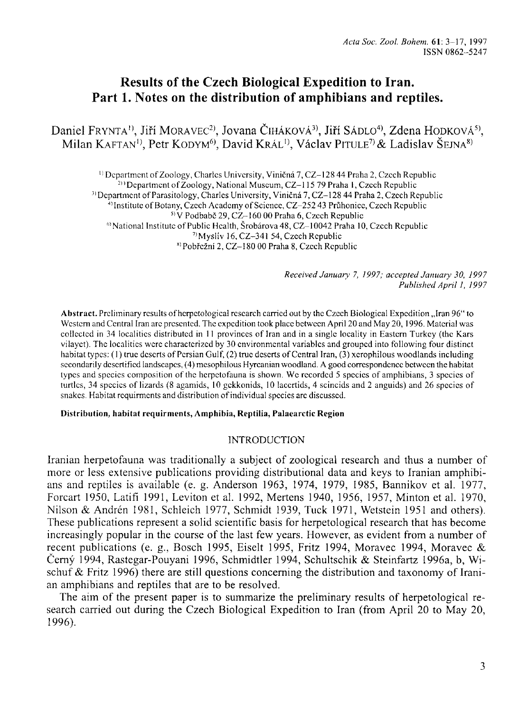# Results of the Czech Biological Expedition to Iran. Part 1. Notes on the distribution of amphibians and reptiles.

Daniel Frynta<sup>1)</sup>, Jiří MORAVEC<sup>2</sup>, Jovana ČIHÁKOVÁ<sup>3)</sup>, Jiří SÁDLO<sup>4</sup>), Zdena HODKOVÁ<sup>5)</sup>, Milan KAFTAN<sup>1</sup>, Petr KODYM<sup>6</sup>, David KRÁL<sup>1</sup>, Václav PITULE<sup>7</sup> & Ladislav ŠEJNA<sup>8</sup>

<sup>1</sup> Department of Zoology, Charles University, Viničná 7, CZ-128 44 Praha 2, Czech Republic <sup>21)</sup>Department of Zoology, National Museum, CZ-115 79 Praha L. Czech Republic <sup>3)</sup> Department of Parasitology, Charles University, Viničná 7, CZ-128 44 Praha 2, Czech Republic <sup>4)</sup> Institute of Botany, Czech Academy of Science, CZ-252 43 Průhonice, Czech Republic <sup>5)</sup> V Podbabě 29, CZ-160 00 Praha 6, Czech Republic  $\degree$ ) National Institute of Public Health, Šrobárova 48, CZ-10042 Praha 10, Czech Republic <sup>7</sup>) Mysliv 16, CZ-341 54, Czech Republic <sup>8)</sup> Pobřežní 2, CZ-180 00 Praha 8, Czech Republic

> Received January 7, 1997; accepted January 30, 1997 Published April 1, 1997

Abstract. Preliminary results of herpetological research carried out by the Czech Biological Expedition "Iran 96" to Western and Central Iran are presented. The expedition took place between April 20 and May 20, 1996. Material was collected in 34 localities distributed in 11 provinces of Iran and in a single locality in Eastern Turkey (the Kars vilayet). The localities were characterized by 30 environmental variables and grouped into following four distinct habitat types: (1) true deserts of Persian Gulf, (2) true deserts of Central Iran, (3) xerophilous woodlands including secondarily desertified landscapes, (4) mesophilous Hyrcanian woodland. A good correspondence between the habitat types and species composition of the herpetofauna is shown. We recorded 5 species of amphibians, 3 species of turtles, 34 species of lizards (8 agamids, 10 gekkonids, 10 lacertids, 4 scincids and 2 anguids) and 26 species of snakes. Habitat requirments and distribution of individual species are discussed.

#### Distribution, habitat requirments, Amphibia, Reptilia, Palaearctic Region

#### **INTRODUCTION**

Iranian herpetofauna was traditionally a subject of zoological research and thus a number of more or less extensive publications providing distributional data and keys to Iranian amphibians and reptiles is available (e. g. Anderson 1963, 1974, 1979, 1985, Bannikov et al. 1977, Forcart 1950, Latifi 1991, Leviton et al. 1992, Mertens 1940, 1956, 1957, Minton et al. 1970, Nilson & Andrén 1981, Schleich 1977, Schmidt 1939, Tuck 1971, Wetstein 1951 and others). These publications represent a solid scientific basis for herpetological research that has become increasingly popular in the course of the last few years. However, as evident from a number of recent publications (e. g., Bosch 1995, Eiselt 1995, Fritz 1994, Moravec 1994, Moravec & Černý 1994, Rastegar-Pouyani 1996, Schmidtler 1994, Schultschik & Steinfartz 1996a, b. Wischuf & Fritz 1996) there are still questions concerning the distribution and taxonomy of Iranian amphibians and reptiles that are to be resolved.

The aim of the present paper is to summarize the preliminary results of herpetological research carried out during the Czech Biological Expedition to Iran (from April 20 to May 20, 1996).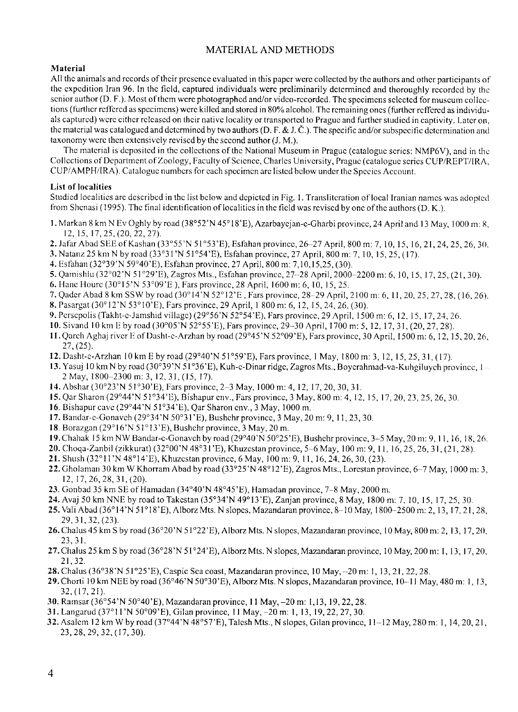#### MATERIAL AND METHODS

#### Material

All thc animals and rccords ofthcir prcscncc cvaluatcd in this papcr wcrc collcctcd by thc authors and othcr participants of thc cxpcdition Iran 96. In thc ficld, capturcd individuals wcrc prcliminarily dctcrmincd and thoroughly rccordcd by thc scnior author (D. F.). Most of them were photographed and/or video-recorded. The specimens selected for museum collections (further reffered as specimens) were killed and stored in 80% alcohol. The remaining ones (further reffered as individuals capturcd) wcrc cithcr rclcascd on thcir nativc locality or transportcd to Praguc and furthcr studicd in captivity. Latcr on, the material was catalogued and determined by two authors (D. F. & J. Č.). The specific and/or subspecific determination and taxonomy wcrc thcn cxtcnsivcly rcviscd by thc sccond author (J. M.).

Thc matcrial is dcpositcd in thc collcctions of thc National Muscum in Praguc (cataloguc scrics: NMP6V), and in thc Coilcctions of Dcpartmcnt of Zoology, Faculty of Scicncc, Charlcs Univcrsity, Praguc (cataloguc scrics CUP/REPT/lRA, CUP/AMPH/IRA). Catalogue numbers for each specimen are listed below under the Species Account.

#### List of localities

Studied localitics are described in the list below and depicted in Fig. 1. Transliteration of local Iranian names was adopted from Shenasi (1995). The final identification of localities in the field was revised by one of the authors (D. K.).

- 1. Markan 8 km N Ev Oghly by road (38°52'N 45°18'E), Azarbaycjan-c-Gharbi province, 24 April and 13 May, 1000 m; 8. t2, ts, t7,2s, (20,22.27).
- 2. Jafar Abad SEE of Kashan (33°55'N 51°53'E), Esfahan province, 26-27 April, 800 m: 7, 10, 15, 16, 21, 24, 25, 26, 30.
- 3. Natanz 25 km N by road  $(33^{\circ}31' N 51^{\circ}54' E)$ . Esfahan province, 27 April, 800 m; 7, 10, 15, 25, (17).
- 4. Esfahan (32°39'N 59°40'E), Esfahan province, 27 April, 800 m: 7,10,15,25, (30).
- 5.Qamishlu(32"02'N5l'29'E),ZagrosMts.,Esfahanprovincc,2T-28Apri1,2000 2200m: 6, 10, 15, 17,25,(2 1,30).
- 6. Hanc Houre (30°15'N 53°09'E), Fars province, 28 April, 1600 m: 6, 10, 15, 25.
- 7. Qader Abad 8 km SSW by road  $(30^{\circ}14'N52^{\circ}12'E)$ . Fars province, 28-29 April, 2100 m; 6, 11, 20, 25, 27, 28, (16, 26).
- 8. Pasargat (30° 12'N 53° 10' E), Fars province, 29 April, 1 800 m: 6, 12, 15, 24, 26, (30).
- 9. Pcrscpolis (Takht-c-Jamshid village) (29°56'N 52°54'E), Fars province, 29 April, 1500 m; 6, 12, 15, 17, 24, 26.
- 10. Sivand 10 km E by road (30°05'N 52°55'E), Fars province, 29-30 April, 1700 m: 5, 12, 17, 31, (20, 27, 28).
- I I . Qarch Aghaj rivcr Il of Dasht-c-Arzhan by road (29'45'N 52'09'E), Fars provincc, 30 April, I 500 m: 6, 12, 15,20,26,  $27, (25)$ .
- 12. Dasht-c-Arzhan l0krn E byroad(29'40'N 5l'59'E), Farsprovincc, I May, 1800m:3, 12, 15,25,31,(ll).
- 13. Yasui 10 km N by road (30°39'N 51°36'E), Kuh-c-Dinar ridge, Zagros Mts., Boyerahmad-va-Kuhgiluych province, I-2 May, 1800-2300 m. 3, 12, 31, (15, 17).
- **14.** Abshar (30°23'N 51°30'E), Fars province, 2–3 May, 1000 m; 4, 12, 17, 20, 30, 31.
- 15. Qar Sharon (29°44'N 51°34'E), Bishapur cnv., Fars province, 3 May, 800 m: 4, 12, 15, 17, 20, 23, 25, 26, 30.
- 16. Bishapur cavc (29'44'N 5l'34'E), Qar Sharon cnv., 3 May, 1000 m.
- I 7. Bandar-c-Gonavch (29'34'N 50'3 I 'E), Bushchr provincc, 3 May, 20 m: 9, I I , 23, 30.
- 18. Borazgan (29°16'N 51°13'E), Bushchr province, 3 May, 20 m.
- 19. Chahak 15 km NW Bandar-c-Gonavch by road  $(29°40' N 50°25' E)$ , Bushchr province, 3-5 May, 20 m; 9, 11, 16, 18, 26.
- 20. Choga-Zanbil (zikkurat) (32°00'N 48°31'E), Khuzestan province, 5–6 May, 100 m; 9, 11, 16, 25, 26, 31, (21, 28).
- 21. Shush (32°11'N 48°14'E), Khuzestan province, 6 May, 100 m; 9, 11, 16, 24, 26, 30, (23).
- 22. Gholaman 30 km W Khorram Abad by road (33°25'N 48°12'E), Zagros Mts., Lorcstan province, 6–7 May, 1000 m: 3, 12, 17, 26, 28, 31, (20).
- 23. Gonbad 35 km SE of Hamadan (34°40'N 48°45'E), Hamadan province,  $7-8$  May, 2000 m.
- 24. Avaj 50 knr NNE by road to Takcstan (35'34'N 49"13'E), Zanjan provincc,8 May, 1800 m: 7, 10, 15, 17,25,30.
- 25. Vali Abad (36°14'N 51°18'E), Alborz Mts. N slopcs, Mazandaran province, 8-10 May, 1800-2500 m: 2, 13, 17, 21, 28, 29,3t,32,(23).
- 26. Chalus 45 km S by road (36°20'N 51°22'E), Alborz Mts. N slopes, Mazandaran province, 10 May, 800 m: 2, 13, 17, 20, 23.31.
- 27. Chalus 25 km S by road (36°28'N 51°24'E), Alborz Mts. N slopes, Mazandaran province, 10 May, 200 m: 1, 13, 17, 20, 2t.32.
- 28. Chalus (36°38'N 51°25'E), Caspic Sca coast, Mazandaran province, 10 May, -20 m: 1, 13, 21, 22, 28.
- 29. Chorti 10 km NEE by road (36°46'N 50°30'E), Alborz Mts. N slopes, Mazandaran province,  $10-11$  May, 480 m: 1, 13, 32, (17, 21).
- 30. Ramsar (36"54'N 50"40'E), Mazandaran provincc, I I May, -20 m: 1,13,19,22,28.
- 31. Langarud (37'l I'N 50'09'E), Gilan provincc, I I May, 20 m: l, 13, 19,22,27,30.
- 32. Asalcm 12 km W by road (37°44'N 48°57'E), Talcsh Mts., N slopes, Gilan province, 11-12 May, 280 m: 1, 14, 20, 21, 23, 28, 29, 32, (17, 30).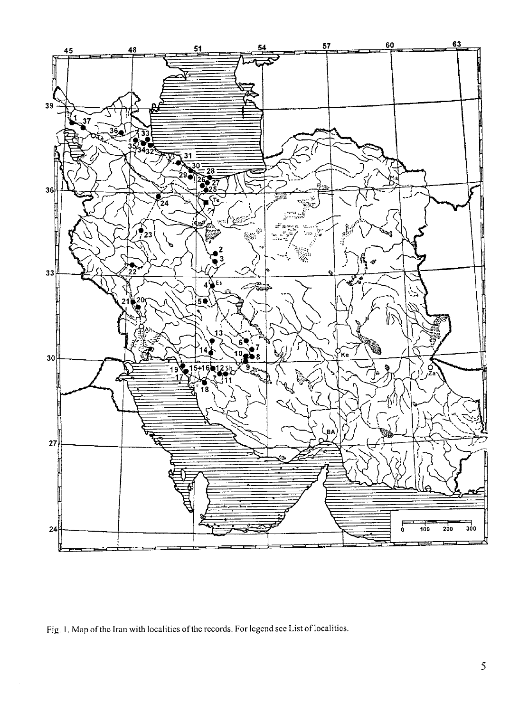

Fig. l. Map of thc Iran with localitics of thc rccords. For lcgcnd scc List of localities.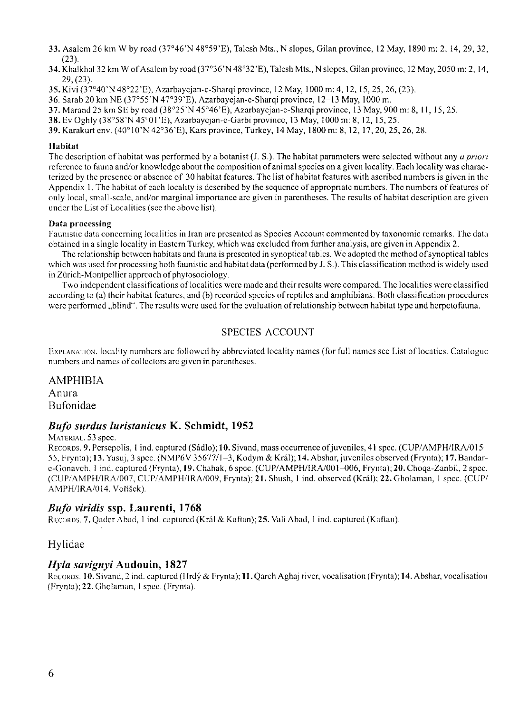- 33. Asalcm 26 km W by road (37°46'N 48°59'E), Talcsh Mts., N slopes, Gilan province, 12 May, 1890 m: 2, 14, 29, 32, (23).
- 34. Khalkhal 32 km W of Asalcm by road (37'36'N 48'32'E), Talcsh Mts., N slopcs, Gilan provincc, l2 May, 2050 m: 2, I 4, 29, (23).
- 35. Kivi (37°40'N 48°22'E), Azarbaycian-c-Sharqi province, 12 May, 1000 m: 4, 12, 15, 25, 26, (23).
- 36. Sarab 20 km NE (37°55'N 47°39'E), Azarbaycjan-c-Sharqi province, 12-13 May, 1000 m.
- 3T.Marand25kmSEbyroad(38"25'N45'46'E),Azarbaycjan-c-Sharqi provincc, l3May,900m: 8, ll,15,25.
- 38.EvOghly(38"58'N45"01'E),Azarbaycjan-c-Garbi provncc, l3May, 1000m:8,12, 15,25.
- 39. Karakurt cnv. (40°10'N 42°36'E), Kars province, Turkey, 14 May, 1800 m: 8, 12, 17, 20, 25, 26, 28.

#### Habitat

The description of habitat was performed by a botanist  $(J, S)$ . The habitat parameters were selected without any *a priori* rcfcrcncc to fauna and/or knowledge about the composition of animal species on a given locality. Each locality was charactcrizcd by thc prcscncc or abscncc of 30 habitat fcaturcs. Thc list ofhabitat fcaturcs with ascribcd numbcrs is givcn in thc Appendix 1. The habitat of each locality is described by the sequence of appropriate numbers. The numbers of features of only local, snrall-scalc, and/or marginal importancc arc givcn in parcnthcscs. Thc rcsults ofhabitat dcscription arc givcn under the List of Localities (see the above list).

#### Data processing

Faunistic data concerning localitics in Iran are presented as Species Account commented by taxonomic remarks. The data obtaincd in a single locality in Eastcm Turkcy, which was cxcludcd from furthcr analysis, arc givcn in Appcndix 2.

Thc rclationship bctwccn habitats and fauna is prcscntcd in synoptical tablcs. Wc adoptcd thc mcthod ofsynoptical tablcs which was used for processing both faunistic and habitat data (performed by J. S.). This classification method is widely used in Zürich-Montpellier approach of phytosociology.

Two indcpcndcnt classifications of localitics wcrc madc and thcir rcsults wcrc comparcd. Thc localitics wcrc classificd according to (a) thcir habitat fcaturcs, and (b) rccordcd spccics ofrcptilcs and amphibians. Both classification proccdurcs were performed ,,blind". The results were used for the evaluation of relationship between habitat type and herpetofauna.

#### SPECIES ACCOLINT

EXPLANATION. locality numbers are followed by abbreviated locality names (for full names see List of locatics. Catalogue numbers and names of collectors are given in parentheses.

#### AMPHIBIA

Anura Bufonidae

#### Bufo surdus luristanicus K. Schmidt, 1952

#### MATERIAL. 53 spec.

RECORDS. 9. Persepolis, 1 ind. captured (Sádlo); 10. Sivand, mass occurrence of juveniles, 41 spcc. (CUP/AMPH/IRA/015 55, Frynta); 13. Yasuj, 3 spcc. (NMP6V 35677/1-3, Kodym & Král); 14. Abshar, juveniles observed (Frynta); 17. Bandarc-Gonavch, Iind. capturcd (Frynta), 19. Chahak, 6 spcc. (CUP/AMPH/IRA/001-006, Frynta); 20. Choqa-Zanbil,2 spcc. (CUP/AMPH/IRA/007, CUP/AMPH/IRA/009, Frynta); 21. Shush, 1 ind. observed (Král); 22. Gholaman, 1 spcc. (CUP/ AMPH/IRA/014, Voříšck).

#### Bufo viridis ssp. Laurenti, 1768

RECORDS. 7. Qader Abad, 1 ind. captured (Král & Kaftan); 25. Vali Abad, 1 ind. captured (Kaftan).

#### Hylidae

#### Hyla savignyi Audouin, 1827

RECORDS. 10. Sivand, 2 ind. captured (Hrdý & Frynta); 11. Qarch Aghaj river, vocalisation (Frynta); 14. Abshar, vocalisation (Frynta); 22. Gholaman, 1 spcc. (Frynta).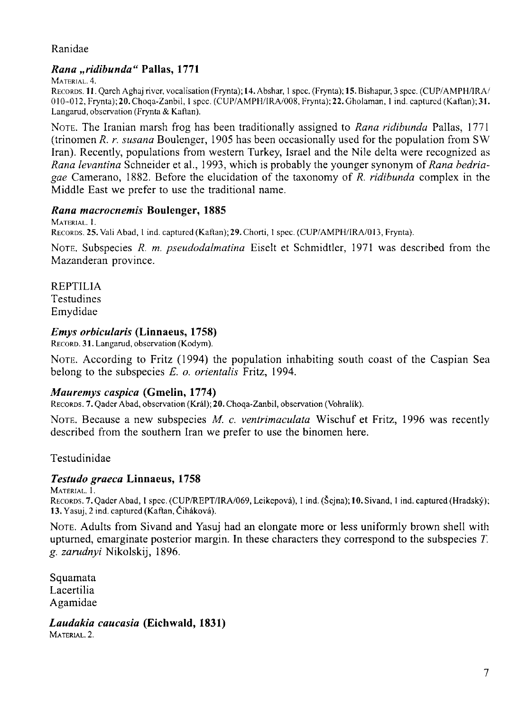## Ranidae

# Rana ,,ridibunda" Pallas, l77l

MATERIAL. 4.

RECORDS. 11. Oarch Aghaj river, vocalisation (Frynta); 14. Abshar, 1 spcc. (Frynta); 15. Bishapur, 3 spcc. (CUP/AM PH/IRA/ 010-012, Frynta); 20. Choqa-Zanbil, 1 spcc. (CUP/AMPH/IRA/008, Frynta); 22. Gholaman, 1 ind. captured (Kaftan); 31. Langarud, observation (Frynta & Kaftan).

Nore. The Iranian marsh frog has been traditionally assigned to *Rana ridibunda* Pallas, 1771 (trinomen R. r. susana Boulenger, 1905 has been occasionally used for the population from SW Iran). Recently, populations from western Turkey, Israel and the Nile delta were recognized as Rana levantina Schneider et al., 1993, which is probably the younger synonym of Rana bedriagae Camerano, 1882. Before the elucidation of the taxonomy of R. *ridibunda* complex in the Middle East we prefer to use the traditional name.

### Rana macrocnemis Boulenger, 1885

MATERIAL 1.

Rsconos.25.Vali Abad, I ind.captured(Kaftan);29.Chorti, I spcc.(CUP/AMPH/IRA/0l3,Frynta).

NOTE. Subspecies R. m. pseudodalmatina Eiselt et Schmidtler, 1971 was described from the Mazanderan province.

REPTILIA **Testudines** Emydidae

## Emys orbicularis (Linnaeus, 1758)

RECORD. 31. Langarud, observation (Kodym).

NorE. According to Fritz (1994) the population inhabiting south coast of the Caspian Sea belong to the subspecies E. o. orientalis Fritz, 1994.

# Mauremys caspica (Gmelin, 1774)

RECORDS. 7. Qader Abad, observation (Král); 20. Choqa-Zanbil, observation (Vohralík).

Nore. Because a new subspecies M. c. ventrimaculata Wischuf et Fritz, 1996 was recently described from the southern Iran we prefer to use the binomen here.

Testudinidae

# Testudo graeca Linnaeus, 1758

MATERIAL. 1.

RECORDS. 7. Oader Abad, I spcc. (CUP/REPT/IRA/069, Leikepová), 1 ind. (Šejna); 10. Sivand, 1 ind. captured (Hradský); 13. Yasuj, 2 ind. captured (Kaftan, Čiháková).

Nore. Adults from Sivand and Yasuj had an elongate more or less uniformly brown shell with upturned, emarginate posterior margin. In these characters they correspond to the subspecies  $T$ . g. zarudnyi Nikolskij, 1896.

Squamata Lacertilia Agamidae

Laudakia caucasia (Eichwald, 1831) MATERIAL, 2.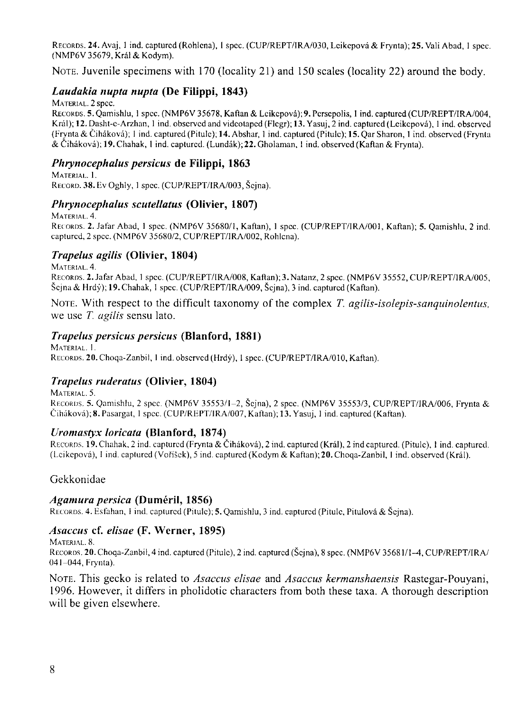Rrconos. 24. Avaj, I ind. capturcd (Rohlcna), I spcc. (CUP/REPT/IRA/030, Lcikcpovd & Frynta);25. Vali Abad, I spcc. (NMP6V 35679, Krril & Kodym).

Nore. Juvenile specimens with 170 (locality 21) and 150 scales (locality 22) around the body.

#### Laudakia nupta nupta (De Filippi, 1843)

#### MATERIAL. 2 spcc.

RECORDS. 5. Qamishlu, 1 spcc. (NMP6V 35678, Kaftan & Leikcpová); 9. Persepolis, 1 ind. captured (CUP/REPT/IRA/004, Král); 12. Dasht-e-Arzhan, 1 ind. observed and videotaped (Flegr); 13. Yasuj, 2 ind. captured (Leikepová), 1 ind. observed  $(Frynta & Čiháková); I ind. captured (Pitule); 14. Abshar, I ind. captured (Pitule); 15. Oar Sharon, I ind. observed (Frynta)$ & Čiháková); 19, Chahak, 1 ind. captured. (Lundák); 22. Gholaman, 1 ind. observed (Kaftan & Frynta).

#### Pltrynocephalus persicus de Filippi, 1863

#### MATERIAL. 1.

RECORD. 38. Ev Oghly, 1 spcc. (CUP/REPT/IRA/003, Šcina).

#### Phrynocephalus scutellatus (Olivier, 1807)

MATERIAL. 4.

RECORDS. 2. Jafar Abad, 1 spcc. (NMP6V 35680/1, Kaftan), 1 spcc. (CUP/REPT/IRA/001, Kaftan); 5. Qamishlu, 2 ind. captured, 2 spcc. (NMP6V 35680/2, CUP/REPT/IRA/002, Rohlcna).

### Trapelus agilis (Olivier, 1804)

#### MATERIAL, 4.

RECORDS. 2. Jafar Abad, 1 spcc. (CUP/REPT/IRA/008, Kaftan); 3. Natanz, 2 spcc. (NMP6V 35552, CUP/REPT/IRA/005, Šcina & Hrdý): 19. Chahak, 1 spcc. (CUP/REPT/IRA/009, Šcina). 3 ind. captured (Kaftan).

NOTE. With respect to the difficult taxonomy of the complex  $T$ , agilis-isolepis-sanquinolentus, we use T. *agilis* sensu lato.

#### Trapelus persicus persicus (Blanford, 1881)

MATERIAL. 1. RECORDS. 20. Choqa-Zanbil, 1 ind. observed (Hrdý), 1 spec. (CUP/REPT/IRA/010, Kaftan).

### Trapelus ruderatus (Olivier, 1804)

MATERIAL, 5. RECORDS. 5. Qamishlu, 2 spcc. (NMP6V 35553/1-2, Šejna), 2 spcc. (NMP6V 35553/3, CUP/REPT/IRA/006, Frynta & Cihrikovri);8. Pasargat, I spcc. (CUP/REPT/IRA/007, Kaflan); 13. Yasuj, I ind. capturcd (Kaftan).

#### Uromastyx loricata (Blanford, 1874)

RECORDS. 19. Chahak, 2 ind. captured (Frynta & Ciháková), 2 ind. captured (Král), 2 ind captured. (Pitule), 1 ind. captured. (Lcikcpovd), I ind. capturcd (VoiiSck), 5 ind. capturcd (Kodym & Kaftan);20. Choqa-Zanbil, I ind. obscrvcd (Krril).

Gekkonidae

#### Agamura persica (Duméril, 1856)

RECORDS. 4. Esfahan, 1 ind. captured (Pitulc); 5. Qamishlu, 3 ind. captured (Pitulc, Pitulová & Šejna).

#### Asaccus cf. elisae (F. Werner, 1895)

MATERIAL, 8.

RECORDS. 20. Choqa-Zanbil, 4 ind. captured (Pitulc), 2 ind. captured (Šejna), 8 spcc. (NMP6V 35681/1-4, CUP/REPT/IRA/ 041-044, Frynta).

Nore. This gecko is related to *Asaccus elisae* and *Asaccus kermanshaensis* Rastegar-Pouyani, 1996. However, it differs in phoiidotic characters from both these taxa. A thorough description will be given elsewhere.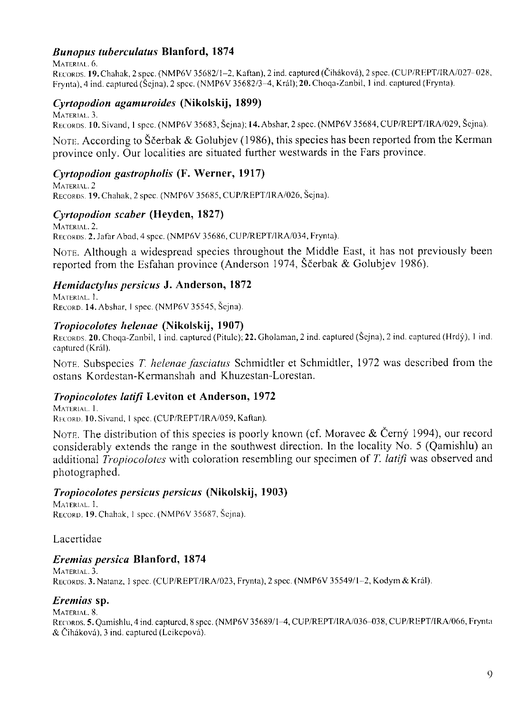## Bunopus tuberculatus Blanford, 1874

MATERIAL. 6.

RECORDS. 19. Chahak, 2 spcc. (NMP6V 35682/1-2, Kaftan), 2 ind. captured (Čiháková), 2 spcc. (CUP/REPT/IRA/027-028, Frynta), 4 ind. captured (Šejna), 2 spcc. (NMP6V 35682/3-4, Král); 20. Choqa-Zanbil, 1 ind. captured (Frynta).

#### Cyrtopodion agamuroides (Nikolskij, 1899)

MATERIAL. 3. RECORDS. 10. Sivand, 1 spcc. (NMP6V 35683, Šejna); 14. Abshar, 2 spcc. (NMP6V 35684, CUP/REPT/IRA/029, Šejna).

NOTE. According to Ščerbak & Golubjev (1986), this species has been reported from the Kerman province only. Our localities are situated further westwards in the Fars province.

## Cyrtopodion gastropholis (F. Werner, 1917)

MATERIAL. 2 Rrcoaos. 19. Chahak, 2 spcc. (NMP6V 35685, CUP/REPT/IRA/026. Scjna).

### Cyrtopodion scaber (Heyden, 1827)

MATERIAL, 2. RECORDS. 2. Jafar Abad, 4 spcc. (NMP6V 35686, CUP/REPT/IRA/034, Frynta).

Nore. Although a widespread species throughout the Middle East, it has not previously been reported from the Esfahan province (Anderson 1974, Ščerbak & Golubjev 1986).

### Hemiductylus persicus J. Anderson, 1872

MATERIAL, 1. RECORD. 14. Abshar, 1 spcc. (NMP6V 35545, Šcjna).

#### Tropiocolotes helenae (Nikolskij, 1907)

RECORDS. 20. Choqa-Zanbil, 1 ind. captured (Pitulc); 22. Gholaman, 2 ind. captured (Šcjna), 2 ind. captured (Hrdý), 1 ind. captured (Král).

NOTE. Subspecies T. helenae fasciatus Schmidtler et Schmidtler, 1972 was described from the ostans Kordestan-Kermanshah and Khuzestan-Lorestan.

### Tropiocolotes latifi Leviton et Anderson, 1972

MATERIAL, L. RECORD, 10. Sivand, 1 spcc. (CUP/REPT/IRA/059, Kaftan).

Nore. The distribution of this species is poorly known (cf. Moravec & Černý 1994), our record considerably extends the range in the southwest direction. ln the locality No. 5 (Qamishlu) an additional *Tropiocolotes* with coloration resembling our specimen of  $T$ . *latifi* was observed and photographed.

### Tropiocolotes persicus persicus (Nikolskij, 1903)

MATERIAL, 1. RECORD. 19. Chahak, 1 spcc. (NMP6V 35687, Šejna).

### Lacertidae

# Eremias persica Blanford, 1874

MATERIAL, 3. Rrconos.3. Natanz, I spcc. (CUP/REPT/lRA/023, Frynta),2 spcc. (NMP6V 35549/l-2, Kodym & Krdl).

### Eremias sp.

MATERIAL, 8.

RECORDS. 5. Oamishlu, 4 ind. captured, 8 spec. (NMP6V 35689/1-4, CUP/REPT/IRA/036-038, CUP/REPT/IRA/066, Frynta  $& \text{Čiháková)}$ , 3 ind. captured (Leikepová).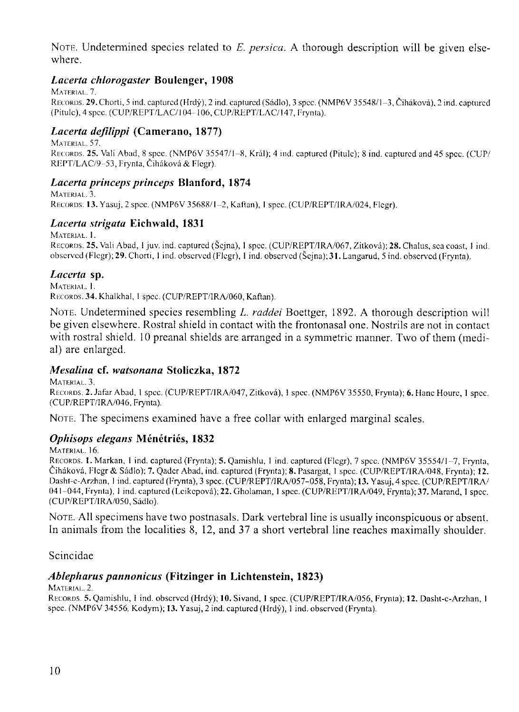Nore. Undetermined species related to  $E$ , persica. A thorough description will be given elsewhere.

## Lacerta chlorogaster Boulenger, 1908

MATERIAL<sub>7</sub>

RECORDS. 29. Chorti, 5 ind. captured (Hrdý), 2 ind. captured (Sádlo), 3 spcc. (NMP6V 35548/l-3, Čiháková), 2 ind. captured  $(Pitule)$ , 4 spcc.  $(CUP/REPT/LAC/104-106$ ,  $CUP/REPT/LAC/147$ , Frynta).

# Lacerta defilippi (Camerano, 1877)

MATERIAL, 57. RECORDS, 25. Vali Abad, 8 spec. (NMP6V 35547/1–8, Král); 4 ind. captured (Pitulc); 8 ind. captured and 45 spec. (CUP/ REPT/LAC/9-53, Frynta, Čiháková & Flegr).

#### Lacerta princeps princeps Blanford, 1874

MATERIAL, 3. RECORDS. 13. Yasuj, 2 spcc. (NMP6V 35688/1-2, Kaftan), 1 spcc. (CUP/REPT/IRA/024, Flegr).

### Lacertu strigata Eichwald, 1831

MATERIAL. 1.

RECORDS. 25. Vali Abad, I juv. ind. captured (Šejna), 1 spcc. (CUP/REPT/IRA/067, Zitková); 28. Chalus, sca coast, 1 ind. observed (Flegr); 29. Chorti, I ind. observed (Flegr), I ind. observed (Šejna); 31. Langarud, 5 ind. observed (Frynta).

#### Luccrta sp.

MATERIAL. L. RECORDS. 34. Khalkhal, 1 spcc. (CUP/REPT/IRA/060, Kaftan).

Nore. Undetermined species resembling L. raddei Boettger, 1892. A thorough description will be given elsewhere. Rostral shield in contact with the frontonasal one. Nostrils are not in contact with rostral shield. 10 preanal shields are arranged in a symmetric manner. Two of them (medial) are enlarged.

### Mesalina cf. watsonana Stoliczka, 1872

MATERIAL, 3.

RECORDS. 2. Jafar Abad, I spcc. (CUP/REPT/IRA/047, Zitková), I spcc. (NMP6V 35550, Frynta); 6. Hanc Hourc, 1 spcc. (CUP/REPT/IRA/046, Frynta).

Nore. The specimens examined have a free collar with enlarged marginal scales.

#### Ophisops elegans Ménétriés, 1832

MATERIAL. 16.

RECORDS. I. Markan, 1 ind. captured (Frynta); 5. Qamishlu, 1 ind. captured (Flegr), 7 spcc. (NMP6V 35554/1-7, Frynta, Čiháková, Flegr & Sádlo); 7. Qader Abad, ind. captured (Frynta); 8. Pasargat, 1 spcc. (CUP/REPT/IRA/048, Frynta); 12. Dasht-c-Arzhan, Iind. capturcd (Frynta), 3 spcc. (CUP/REPT/IRA/057-058, Frynta); 13. Yasuj,4 spcc. (CUP/REPT/IRA / 041-044, Frynta), 1 ind. captured (Leikepová); 22. Gholaman, 1 spcc. (CUP/REPT/IRA/049, Frynta); 37. Marand, 1 spec. (CUP/REPT/IRA/050, Sádlo).

Norr. All specimens have two postnasals. Dark vertebral line is usually inconspicuous or absent. In animals from the localities 8, 12, and 37 a short vertebral line reaches maximally shoulder.

Scincidae

### Ablepharus pannonicus (Fitzinger in Lichtenstein, 1823)

 $M$  $ATFRL.$  2.

RECORDS. 5. Qamishlu, I ind. obscrvcd (Hrdý); 10. Sivand, I spcc. (CUP/REPT/IRA/056, Frynta); 12. Dasht-c-Arzhan, I spcc. (NMP6V 34556, Kodym); 13. Yasuj, 2 ind. captured (Hrdý), 1 ind. observed (Frynta).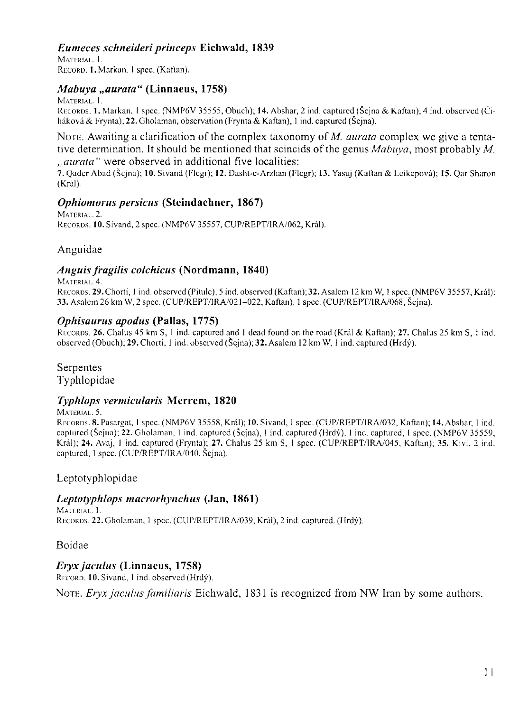#### Eumeces schneideri princeps Eichn'ald, 1839

MATERIAL 1. RECORD. 1. Markan, 1 spcc. (Kaftan).

#### Mabuya "aurata" (Linnaeus, 1758)

MATERIAL 1 RECORDS. 1. Markan. 1 spcc. (NMP6V 35555, Obuch): 14. Abshar. 2 ind. captured (Šcina & Kaftan). 4 ind. obscrved (Čiháková & Frynta): 22. Gholaman, obscrvation (Frynta & Kaftan). 1 ind. captured (Šcina).

Nore. Awaiting a clarification of the complex taxonomy of M. aurata complex we give a tentative determination. It should be mentioned that scincids of the genus  $Mabuva$ , most probably M. ., aurata " were observed in additional five localities:

7. Oader Abad (Šejna); 10. Sivand (Flegr); 12. Dasht-e-Arzhan (Flegr); 13. Yasuj (Kaftan & Leikepová); 15. Oar Sharon ( Kral).

#### Ophiomorus persicus (Steindachner, 1867)

MATERIAL 2. RECORDS. 10. Sivand, 2 spec. (NMP6V 35557, CUP/REPT/IRA/062, Král).

Anguidae

#### Anguis fragilis colchicus (Nordmann, 1840)

MATERIAL. 4.

RECORDS. 29. Chorti, I ind. observed (Pitule), 5 ind. observed (Kaftan); 32. Asalem 12 km W, 1 spec. (NMP6V 35557, Král); 33. Asalem 26 km W, 2 spcc. (CUP/REPT/IRA/021-022, Kaftan), 1 spcc. (CUP/REPT/IRA/068, Šcjna).

#### Ophisaurus apodus (Pallas, 1775)

Rrconos. 26. Chalus 45 knr S, I ind. capturcd and I dcad found on thc road (Krdl & Kafian); 27. Chalus 25 km S, I incl. obscrved (Obuch); 29. Chorti, 1 ind. observed (Šejna); 32. Asalem 12 km W, I ind. captured (Hrdý).

Serpentes

1'yphlopidae

#### Typhlops vermicularis Merrem, 1820

#### MATERIAL, 5.

Recoros.8. Pasargat, I spcc. (NMP6V 35558, Krdl); 10. Sivand, I spcc. (CUP/REPT/IRA/032, Kaf'tan); 14. Abshar, I incl. captured (Šejna); 22. Gholaman, 1 ind. captured (Šejna), 1 ind. captured (Hrdý), 1 ind. captured, 1 spec. (NMP6V 35559. Krril); 24. Avaj, I ind. capturcd (Frynta); 27. Chalus 25 km S, I spcc. (CUP/REPT/IRA/045, Kaftan); 35. Kivi,2 ind. captured,  $1$  spcc. (CUP/REPT/IRA/040, Šejna).

Leptotyphlopidae

### Leptotyphlops macrorhynchus (Jan, 1861)

MATERIAL, 1. RECORDS. 22. Gholaman, 1 spcc. (CUP/REPT/IRA/039, Král), 2 ind. captured. (Hrdý).

Boidae

### Eryx jaculus (Linnaeus, 1758)

RECORD. 10. Sivand, 1 ind. observed (Hrdý).

Nore. Ervx jaculus familiaris Eichwald, 1831 is recognized from NW Iran by some authors.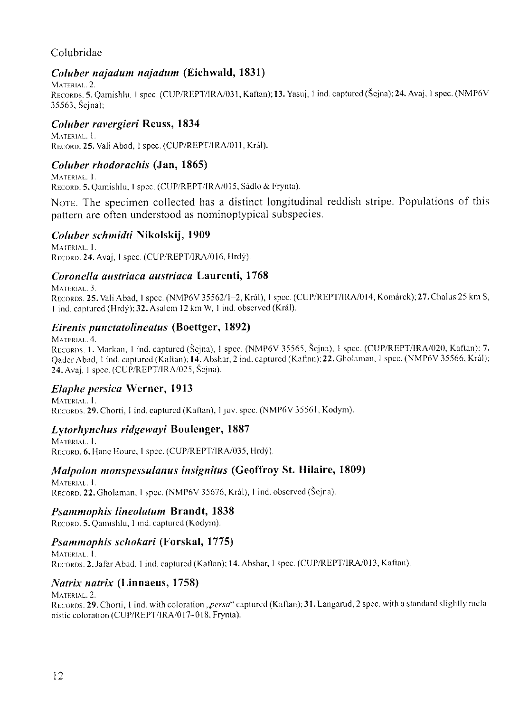## Colubridae

## Coluber najadum najadum (Eichwald, 1831)

MATERIAL, 2. RECORDS. 5. Qamishlu, 1 spcc. (CUP/REPT/IRA/031, Kaftan); 13. Yasuj, 1 ind. captured (Šcjna); 24. Avaj, 1 spcc. (NMP6V 35563, Scjna);

## Coluber ravergieri Reuss, 1834

MATERIAL. L. RECORD. 25. Vali Abad, 1 spcc. (CUP/REPT/IRA/011, Král).

## Coluber rhodorachis (Jan, 1865)

MATERIAL L RECORD, 5. Qamishlu, 1 spcc. (CUP/REPT/IRA/015, Sádlo & Frynta).

NOTE. The specimen collected has a distinct longitudinal reddish stripe. Populations of this pattern are often understood as nominoptypical subspecies.

#### Coluber schmidti Nikolskij, 1909

MATERIAL, L. RECORD. 24. Avaj, I spec. (CUP/REPT/IRA/016, Hrdý).

### Coronella austriaca austriaca Laurenti, 1768

MATERIAL, 3. RECORDS. 25. Vali Abad, I spcc. (NMP6V 35562/1-2, Král), I spcc. (CUP/REPT/IRA/014, Komárck): 27. Chalus 25 km S, 1 ind. captured (Hrdý):  $32$ . Asalem 12 km W, 1 ind. observed (Král).

### Eirenis punctatolineatus (Boettger, 1892)

MATERIAL, 4. RECORDS. 1. Markan, I ind. captured (Šejna), I spec. (NMP6V 35565, Šejna), I spec. (CUP/REPT/IRA/020, Kaftan); 7. Qader Abad, I ind. captured (Kaftan); 14. Abshar, 2 ind. captured (Kaftan); 22. Gholaman, I spec. (NMP6V 35566, Král);  $24.$  Avaj, 1 spcc. (CUP/REPT/IRA/025, Šejna).

### Elaphe persica Werner, l9l3

MATERIAL, 1. RECORDS. 29. Chorti, I ind. captured (Kaftan), 1 juv. spcc. (NMP6V 35561, Kodym).

### Lytorhynchus ridgewayi Boulenger, 1887

MATERIAL. L. RECORD. 6. Hanc Houre, 1 spec. (CUP/REPT/IRA/035, Hrdý).

### Malpolon monspessulanus insignitus (Geoffroy St. Hilaire, 1809)

MATERIAL, L. RECORD. 22. Gholaman, 1 spec. (NMP6V 35676, Král), 1 ind. observed (Šejna).

### Psammophis lineolatum Brandt, 1838

RECORD, 5. Qamishlu, 1 ind. captured (Kodym).

### Psammophis schokari (Forskal, 1775)

MATERIAL, L. RECORDS. 2. Jafar Abad, 1 ind. captured (Kaftan); 14. Abshar, 1 spcc. (CUP/REPT/IRA/013, Kaftan).

### Natrix natrix (Linnaeus, 1758)

MATERIAL. 2.

RECORDS. 29. Chorti, I ind. with coloration, persa" captured (Kaftan); 31. Langarud, 2 spcc. with a standard slightly melanistic coloration (CUP/REPT/IRA/017-018, Frynta).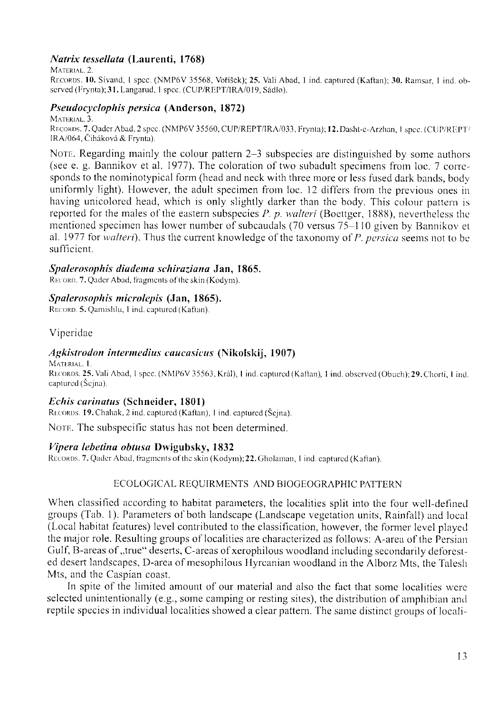## Natrix tessellata (Laurenti, 1768)

MATERIAL, 2. RECORDS, 10. Sivand, 1 spec. (NMP6V 35568, Voříšek); 25. Vali Abad, 1 ind. captured (Kaftan); 30. Ramsar, 1 ind. observed (Frynta); 31. Langarud, 1 spec. (CUP/REPT/IRA/019, Sádlo).

#### Pseudocyclophis persica (Anderson, 1872)

MATERIAL, 3.

RECORDS. 7. Oader Abad, 2 spec. (NMP6V 35560, CUP/REPT/IRA/033, Frynta); 12. Dasht-c-Arzhan, 1 spec. (CUP/REPT/ IRA/064, Čiháková & Frynta).

NOTE. Regarding mainly the colour pattern 2–3 subspecies are distinguished by some authors (see e. g. Bannikov et al. 1977). The coloration of two subadult specimens from loc. 7 corresponds to the nominotypical form (head and neck with three more or less fused dark bands, body uniformly light). However, the adult specimen from loc. 12 differs from the previous ones in having unicolored head, which is only slightly darker than the body. This colour pattern is reported for the males of the eastern subspecies  $P$ . p. walteri (Boettger, 1888), nevertheless the mentioned specimen has lower number of subcaudals (70 versus 75-110 given by Bannikov et al. 1977 for walteri). Thus the current knowledge of the taxonomy of P. persica seems not to be sufficient.

#### Spalerosophis diadema schiraziana Jan, 1865.

RECORD. 7. Qader Abad, fragments of the skin (Kodym).

#### Spalerosophis microlepis (Jan, 1865).

RECORD. 5. Qamishlu, 1 ind. captured (Kaftan).

#### Viperidae

#### Agkistrodon intermedius caucasicus (Nikolskij, 1907)

MATERIAL, L

RECORDS. 25. Vali Abad, 1 spec. (NMP6V 35563, Král), 1 ind. captured (Kaftan), 1 ind. observed (Obuch); 29. Chorti, 1 ind. captured (Šejna).

#### Echis carinatus (Schneider, 1801)

RECORDS. 19. Chahak, 2 ind. captured (Kaftan), 1 ind. captured (Šcina).

NOTE. The subspecific status has not been determined.

#### Vipera lebetina obtusa Dwigubsky, 1832

RECORDS. 7. Qader Abad, fragments of the skin (Kodym); 22. Gholaman, 1 ind. captured (Kaftan).

#### ECOLOGICAL REQUIRMENTS AND BIOGEOGRAPHIC PATTERN

When classified according to habitat parameters, the localities split into the four well-defined groups (Tab. 1). Parameters of both landscape (Landscape vegetation units, Rainfall) and local (Local habitat features) level contributed to the classification, however, the former level played the major role. Resulting groups of localities are characterized as follows: A-area of the Persian Gulf, B-areas of "true" deserts, C-areas of xerophilous woodland including secondarily deforested desert landscapes, D-area of mesophilous Hyrcanian woodland in the Alborz Mts, the Talesh Mts, and the Caspian coast.

In spite of the limited amount of our material and also the fact that some localities were selected unintentionally (e.g., some camping or resting sites), the distribution of amphibian and reptile species in individual localities showed a clear pattern. The same distinct groups of locali-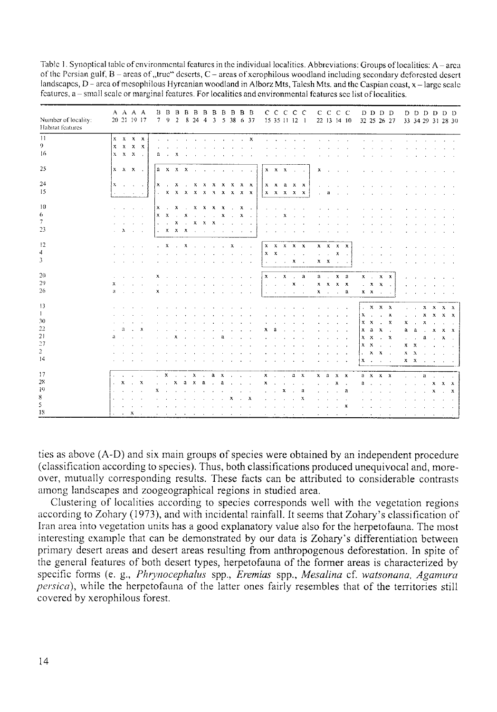| Number of locality:<br>Habitat features |              |              | A A A A<br>20 21 19 17      |                           |   | 7 <sub>9</sub> |              | B B B B<br>$\overline{2}$ | 8                         | $\overline{B}$<br>$24 \t 4 \t 3$ |                      |            |               | <b>BBBBBB</b><br>5 38 6 37                                                                    |                           |        |                     |                | c c c c c<br>15 35 11 12 1              |                   |                           |   |               | $C$ $C$ $C$ $C$<br>22 13 14 10 |                           |   |                |                                        | DDDD<br>32 25 26 27       |                           |        | $D$ $D$ $D$ $D$ $D$ $D$<br>33 34 29 31 28 30 |           |             |        |
|-----------------------------------------|--------------|--------------|-----------------------------|---------------------------|---|----------------|--------------|---------------------------|---------------------------|----------------------------------|----------------------|------------|---------------|-----------------------------------------------------------------------------------------------|---------------------------|--------|---------------------|----------------|-----------------------------------------|-------------------|---------------------------|---|---------------|--------------------------------|---------------------------|---|----------------|----------------------------------------|---------------------------|---------------------------|--------|----------------------------------------------|-----------|-------------|--------|
| $\pm 1$                                 |              |              | $x \times x \times x$       |                           |   | and the        |              |                           |                           |                                  |                      |            |               |                                                                                               | $\cdot$ x                 |        |                     |                |                                         |                   |                           |   |               |                                |                           |   |                |                                        |                           |                           |        |                                              |           |             |        |
| 9                                       |              |              | $x \times x$                |                           |   |                |              |                           |                           |                                  |                      |            |               |                                                                                               |                           |        |                     |                |                                         |                   |                           |   |               |                                |                           |   |                |                                        |                           |                           |        |                                              |           |             |        |
| 16                                      |              |              | $X$ $X$ $X$ .               |                           |   | $\mathbf{a}$   |              | x                         |                           |                                  |                      |            |               |                                                                                               |                           |        |                     |                |                                         |                   |                           |   |               |                                |                           |   |                |                                        |                           |                           |        |                                              |           |             |        |
| 25                                      |              |              | $X$ $X$ $X$ .               |                           |   |                |              | $a \times x \times x$     |                           |                                  |                      |            |               |                                                                                               |                           |        |                     |                | $X$ $X$ $X$                             |                   |                           | x |               |                                |                           |   |                |                                        |                           |                           |        |                                              |           |             |        |
| 24                                      |              |              |                             |                           |   |                |              |                           |                           |                                  |                      |            |               | $X$ , $X$ , $X$ , $X$ , $X$ , $X$ , $X$ , $X$                                                 |                           |        |                     |                | $x \times a \times x$                   |                   |                           |   |               |                                |                           |   |                |                                        |                           |                           |        |                                              |           |             |        |
| 15                                      |              | $\sim$       | $\sim$                      |                           |   |                |              |                           |                           |                                  |                      |            |               | $\begin{array}{cccccccccccccccccc} .& & X & X & X & X & X & X & X & X & X & X \\ \end{array}$ |                           |        |                     |                | $X$ $X$ $X$ $X$ $X$                     |                   |                           |   | a             |                                |                           |   |                |                                        |                           |                           |        |                                              |           |             |        |
| $_{10}$                                 |              |              | $\mathcal{L}_{\mathcal{A}}$ | ×.                        |   |                |              | $x \cdot x$ .             |                           | $X$ $X$ $X$                      |                      |            | $\mathbf{x}$  | $\sim$                                                                                        | $X$ .                     |        |                     |                |                                         |                   |                           |   |               |                                |                           |   |                |                                        |                           |                           |        |                                              |           |             |        |
| 6                                       |              |              | $\sim$                      |                           |   | $x \mathbf{x}$ |              | $\sim$                    | $\boldsymbol{\mathsf{x}}$ | $\ddot{\phantom{1}}$             | $\ddot{\phantom{1}}$ | $\sim$     | $\mathbf x$   |                                                                                               | $\boldsymbol{\mathsf{x}}$ | $\sim$ | ÷.                  |                | x                                       |                   |                           |   |               |                                |                           |   |                |                                        |                           |                           |        |                                              |           |             |        |
| $\tau$                                  |              |              | $\ddot{\phantom{a}}$        | $\sim$                    |   |                |              |                           |                           |                                  |                      |            | $\mathcal{L}$ |                                                                                               |                           |        |                     |                |                                         |                   |                           |   |               |                                |                           |   |                |                                        |                           |                           |        |                                              |           |             |        |
| 23                                      |              | λ            | $\sim$                      | $\sim$                    |   |                |              | $\cdot$ $x$ $x$ $x$       |                           | $\sim 10^{-1}$                   | $\sim$               | $\sim$     |               |                                                                                               |                           |        |                     |                |                                         |                   |                           |   |               |                                |                           |   |                |                                        |                           |                           |        |                                              |           |             |        |
| 12                                      |              |              |                             |                           |   |                | $\mathbf{x}$ | $\sim$                    | $\boldsymbol{\mathsf{x}}$ | ÷.                               |                      |            |               | $\mathbf{x}$                                                                                  |                           | $\sim$ |                     |                | $X$ $X$ $X$ $X$ $X$                     |                   |                           |   |               | $x \times x \times x$          |                           |   |                |                                        |                           |                           |        |                                              |           |             |        |
| 4                                       |              |              |                             |                           |   |                | - 2          |                           |                           | $\Delta$                         |                      |            |               |                                                                                               | чà.                       | - 14   |                     | $x \mathbf{x}$ |                                         | <b>Contractor</b> |                           |   |               | $\ldots$ $X$ .                 |                           |   |                |                                        |                           |                           |        |                                              |           |             |        |
| $\mathbf{3}$                            |              |              |                             |                           |   |                |              |                           |                           |                                  |                      |            |               |                                                                                               |                           |        |                     |                | $\ldots$ $\ldots$ $\mathbf{x}$ $\ldots$ |                   |                           |   |               | $X = X$                        |                           |   |                |                                        |                           |                           |        |                                              |           |             |        |
| 20                                      |              |              |                             |                           | x |                |              |                           |                           |                                  |                      |            |               |                                                                                               |                           |        |                     |                | $x \cdot x \cdot a$                     |                   |                           |   |               | $a \cdot x a$                  |                           |   |                |                                        | $X$ $X$ $X$               |                           |        |                                              |           |             |        |
| 29                                      | x            |              |                             |                           |   |                |              |                           |                           |                                  |                      |            |               |                                                                                               |                           |        | $\alpha$ . $\alpha$ |                |                                         | $\cdot$ X $\cdot$ |                           |   |               | $X$ $X$ $X$ $X$                |                           |   |                | $\cdot$ $x \cdot x$                    | $\cdot$                   |                           |        |                                              |           |             |        |
| 26                                      | $\mathbf{a}$ | $\sim$       |                             |                           | x |                |              |                           |                           |                                  |                      |            |               |                                                                                               |                           |        |                     | $\mathbf{r}$   | $\sim$                                  |                   | $\sim$ $\sim$             |   |               | $x \cdot a$                    |                           |   | $x \mathbf{x}$ | $\sim$                                 |                           |                           |        |                                              |           |             |        |
| 13                                      |              |              |                             |                           |   |                |              |                           |                           |                                  |                      |            |               |                                                                                               |                           |        |                     |                |                                         |                   |                           |   |               |                                |                           |   |                |                                        | $\cdot$ x x x             |                           |        | . . <b>x x x x</b>                           |           |             |        |
| $\mathbf{I}$                            |              |              |                             |                           |   |                |              |                           |                           |                                  |                      |            |               |                                                                                               |                           |        |                     |                |                                         |                   |                           |   |               |                                |                           |   |                | $X = 1 - 1$                            | $\boldsymbol{\mathsf{x}}$ |                           |        | . . <b>x x x x</b>                           |           |             |        |
| 30                                      |              |              |                             |                           |   |                |              |                           |                           |                                  |                      |            |               |                                                                                               |                           |        |                     |                |                                         |                   |                           |   |               |                                |                           |   |                | $X - X$                                | $\boldsymbol{\mathsf{x}}$ | $\boldsymbol{\mathsf{x}}$ | $\sim$ | $\mathbf{x}$                                 | ÷.        |             |        |
| 22                                      | ÷            | $\mathbf{a}$ |                             | $\boldsymbol{\mathsf{x}}$ |   |                |              |                           |                           |                                  |                      |            |               |                                                                                               |                           |        | x                   | a              |                                         |                   |                           |   |               |                                |                           |   |                | $x$ a $x$                              | $\sim$                    | $a \quad a$               |        | $\ddot{\phantom{a}}$                         |           | $X$ $X$ $X$ |        |
| 21                                      | a            |              |                             |                           |   |                |              | х                         |                           |                                  |                      |            | a             |                                                                                               |                           |        |                     |                |                                         |                   |                           |   |               |                                |                           |   |                |                                        | $X \times X$ $X$          | $\alpha = 1/2$            |        | $\mathbf{a}$                                 | $\cdot$ X |             | $\sim$ |
| 27                                      |              |              |                             |                           |   |                |              |                           |                           |                                  |                      |            |               |                                                                                               |                           |        |                     |                |                                         |                   |                           |   |               |                                |                           |   |                | $X$ $X$ $\ldots$                       |                           | $x \times$                |        |                                              |           |             |        |
| $\overline{c}$                          |              |              |                             |                           |   |                |              |                           |                           |                                  |                      |            |               |                                                                                               |                           |        |                     |                |                                         |                   |                           |   |               |                                |                           |   |                | $\mathbf{x} = \mathbf{X} - \mathbf{X}$ |                           | $X - X$                   |        | $\sim$                                       |           |             |        |
| 4                                       |              |              |                             |                           |   |                |              |                           |                           |                                  |                      |            |               |                                                                                               |                           |        |                     |                |                                         |                   |                           |   |               |                                |                           |   |                | $X \rightarrow \cdots$                 |                           | $x - x$                   |        | $\sim$                                       |           |             |        |
| 17                                      |              |              |                             |                           |   |                | $1 - X - 1$  |                           | $\sim$                    | $\mathbf{x}$                     | $\sim$               | $a \times$ |               | $\sim$                                                                                        |                           | $\sim$ | $X$ .               |                | $\sim$                                  |                   | $a \times$                |   |               | $x$ a $x$ $x$                  |                           |   |                |                                        | $a \times x \times x$     | ú.                        | $\sim$ | $\mathbf{a}$                                 | r.        |             |        |
| 28                                      | ×.           | $\mathbf{x}$ | $\mathbf{r}$                | $\boldsymbol{\mathsf{x}}$ |   |                | $\sim$       |                           |                           | x a x a                          |                      | $\sim$     | a             |                                                                                               |                           |        | x                   | $\sim$         |                                         | $\lambda$         | $\sim$                    |   | $\sim$ $\sim$ | $\mathbf{x}$                   | $\sim$                    | a |                |                                        |                           |                           | $\sim$ |                                              |           | $X$ $X$ $X$ |        |
| $\{0$                                   |              |              |                             |                           | x |                |              |                           |                           |                                  |                      |            |               |                                                                                               |                           |        | $\sim$              | $\sim$         | х                                       | $\overline{a}$    | a                         |   |               | $\blacksquare$                 | a                         |   |                |                                        |                           |                           |        |                                              | x         |             | x      |
| 8                                       |              |              |                             |                           |   |                |              |                           |                           |                                  |                      |            |               |                                                                                               |                           |        |                     |                |                                         |                   | $\boldsymbol{\mathbf{x}}$ |   |               |                                |                           |   |                |                                        |                           |                           |        |                                              |           |             |        |
| 5                                       |              |              |                             |                           |   |                |              |                           |                           |                                  |                      |            |               |                                                                                               |                           |        |                     |                |                                         |                   |                           |   |               |                                | $\boldsymbol{\mathsf{x}}$ |   |                |                                        |                           |                           |        |                                              |           |             |        |
| 18                                      |              | $\sim$       | $\boldsymbol{\mathsf{x}}$   |                           |   |                |              |                           |                           |                                  |                      |            |               |                                                                                               |                           |        |                     |                |                                         |                   |                           |   | ÷             |                                |                           |   |                |                                        |                           |                           |        |                                              |           |             |        |

Table 1. Synoptical table of environmental features in the individual localities. Abbreviations: Groups of localities: A - arca of the Persian gulf, B - areas of ,,true" deserts, C - areas of xerophilous woodland including secondary deforested desert landscapcs, D - arca of mesophilous Hyrcanian woodland in Alborz Mts, Talesh Mts. and the Caspian coast, x - large scale fcatures, a - small scale or marginal features. For localities and environmental features see list of localities.

ties as above (A-D) and six main groups of species were obtained by an independent procedure (classification according to species). Thus, both classitications produced unequivocal and, moreover, mutually corresponding results. These facts can be attributed to considerable contrasts among landscapes and zoogeographical regions in studied area.

Clustering of localities according to species corresponds well with the vegetation regions according to Zohary (1973), and with incidental rainfall. It seems that Zohary's classification of Iran area into vegetation units has a good explanatory value also for the herpetofauna. The rnost interesting example that can be demonstrated by our data is Zohary's differentiation between primary desert areas and desert areas resulting from anthropogenous deforestation. ln spite of the general features of both desert types, herpetofauna of the former areas is characterized by specific forms (e. g., Phrynocephalus spp., Eremias spp., Mesalina cf. watsonana, Agamura persica), while the herpetofauna of the latter ones fairly resembles that of the territories still covered by xerophilous forest.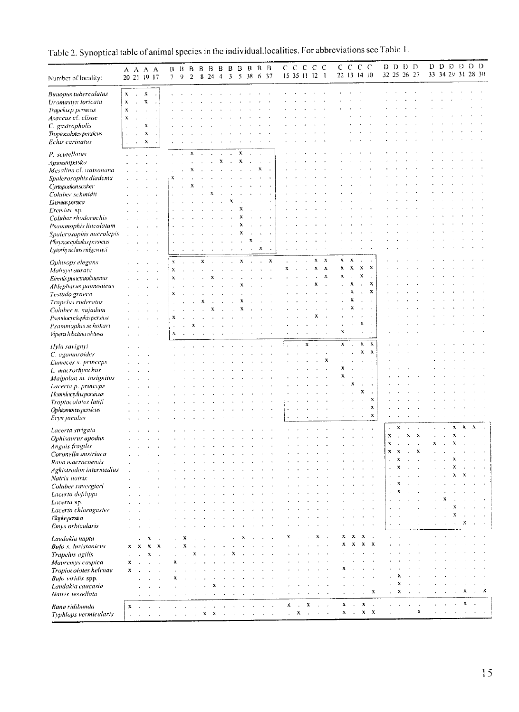| Table 2. Synoptical table of animal species in the individual localities. For abbreviations see Table 1. |  |  |
|----------------------------------------------------------------------------------------------------------|--|--|
|                                                                                                          |  |  |

|                                          |                           |            |                      |                    |   | B                         | $\,$ B | $\, {\bf B}$              | $\, {\bf B}$              | $\, {\bf B}$              | $\, {\bf B}$   | $\, {\bf B}$ | $\, {\bf B}$              | $\mathbf B$    |                           | $B$ $B$                   | c<br>$\mathbf C$          |             | $\mathbf C$               | $C$ $C$     |             | $\mathsf{C}$              | $\mathbf C$               | C                         | $\mathcal{C}$        | D              | $\mathbf D$                     | D D          |                           | D  | D |                | D D                            |                      | D D                       |                           |
|------------------------------------------|---------------------------|------------|----------------------|--------------------|---|---------------------------|--------|---------------------------|---------------------------|---------------------------|----------------|--------------|---------------------------|----------------|---------------------------|---------------------------|---------------------------|-------------|---------------------------|-------------|-------------|---------------------------|---------------------------|---------------------------|----------------------|----------------|---------------------------------|--------------|---------------------------|----|---|----------------|--------------------------------|----------------------|---------------------------|---------------------------|
| Number of locality:                      |                           | A A        |                      | A A<br>20 21 19 17 |   | 7                         | 9      | $\overline{2}$            | 8                         | 24                        | $\overline{4}$ | $\mathbf{3}$ |                           |                |                           | 5 38 6 37                 |                           |             | 15 35 11 12 1             |             |             |                           |                           | 22 13 14 10               |                      |                |                                 | 32 25 26 27  |                           | 33 |   | 34 29 31 28 30 |                                |                      |                           |                           |
| <b>Bunopus</b> tuberculatus              | $\bar{x}$                 | $\epsilon$ | $\mathbf x$          | ÷,                 |   |                           |        |                           |                           |                           |                |              |                           |                |                           |                           |                           |             |                           |             |             |                           |                           |                           |                      |                |                                 |              |                           |    |   |                |                                |                      |                           |                           |
| Uromastyx loricata                       | $\pmb{\mathsf{x}}$        | ÷.         | $\pmb{\chi}$         | $\overline{a}$     |   |                           |        |                           |                           |                           |                |              |                           |                |                           |                           |                           |             |                           |             |             |                           |                           |                           |                      |                |                                 |              |                           |    |   |                |                                |                      |                           |                           |
| Trapelus p. persicus                     | $\mathbf x$               |            | ÷,                   |                    |   |                           |        |                           |                           |                           |                |              |                           |                |                           |                           |                           |             |                           |             |             |                           |                           |                           |                      |                |                                 |              |                           |    |   |                |                                |                      |                           |                           |
| Asaccus ef. clisae                       | $\boldsymbol{\mathsf{x}}$ | l,         |                      |                    |   |                           |        |                           |                           |                           |                |              |                           |                |                           |                           |                           |             |                           |             |             |                           |                           |                           |                      |                |                                 |              |                           |    |   |                |                                |                      |                           |                           |
| C. gastropholis                          |                           | ú.         | $\pmb{\mathsf{x}}$   | ÷.                 |   |                           |        |                           |                           |                           |                |              |                           |                |                           |                           |                           |             |                           |             |             |                           |                           |                           |                      |                |                                 |              |                           |    |   |                |                                |                      |                           |                           |
| Tropiocolotes persicus                   |                           | l,         | $\pmb{\mathsf{x}}$   | ÷.                 |   |                           |        |                           |                           |                           |                |              |                           |                |                           |                           |                           |             |                           |             |             |                           |                           |                           |                      |                |                                 |              |                           |    |   |                |                                |                      |                           |                           |
| Echis carinatus                          |                           | ä,         | X                    | J.                 |   |                           |        |                           |                           |                           |                |              |                           |                |                           |                           |                           |             |                           |             |             |                           |                           |                           |                      |                |                                 |              |                           |    |   |                |                                |                      |                           |                           |
|                                          |                           |            |                      |                    |   |                           |        | $\boldsymbol{\mathsf{x}}$ |                           |                           |                |              | x                         |                |                           |                           |                           |             |                           |             |             |                           |                           |                           |                      |                |                                 |              |                           |    |   |                |                                |                      |                           |                           |
| P. scutellatus                           |                           |            |                      |                    |   |                           |        |                           |                           |                           | $\mathbf x$    |              | $\boldsymbol{\mathsf{x}}$ |                | J.                        |                           |                           |             |                           |             |             |                           |                           |                           |                      |                |                                 |              |                           |    |   |                |                                |                      |                           |                           |
| Agenunipersica<br>Mesalina cf. watsonana |                           |            |                      |                    |   |                           |        | $\mathbf{x}$              |                           |                           |                |              |                           |                | x                         |                           |                           |             |                           |             |             |                           |                           |                           |                      |                |                                 |              |                           |    |   |                |                                |                      |                           |                           |
| Spalerosophis diadema                    |                           |            |                      |                    |   | X                         |        |                           |                           |                           |                |              |                           |                |                           |                           |                           |             |                           |             |             |                           |                           |                           |                      |                |                                 |              |                           |    |   |                |                                |                      |                           |                           |
| Cyrtopodion.waber                        |                           |            |                      |                    |   |                           |        | x                         |                           |                           |                |              |                           |                |                           |                           |                           |             |                           |             |             |                           |                           |                           |                      |                |                                 |              |                           |    |   |                |                                |                      |                           |                           |
| Coluber schmidti                         |                           |            |                      |                    |   |                           |        |                           |                           |                           |                |              |                           |                |                           |                           |                           |             |                           |             |             |                           |                           |                           |                      |                |                                 |              |                           |    |   |                |                                |                      |                           |                           |
| <b>Enmias persica</b>                    |                           |            |                      |                    |   |                           |        |                           |                           |                           |                |              |                           |                |                           |                           |                           |             |                           |             |             |                           |                           |                           |                      |                |                                 |              |                           |    |   |                |                                |                      |                           |                           |
| Eremias sp.                              |                           |            |                      |                    |   |                           |        |                           |                           |                           |                |              |                           |                |                           |                           |                           |             |                           |             |             |                           |                           |                           |                      |                |                                 |              |                           |    |   |                |                                |                      |                           |                           |
| Coluber rhodorachis                      |                           |            |                      |                    |   |                           |        |                           |                           |                           |                |              |                           |                |                           |                           |                           |             |                           |             |             |                           |                           |                           |                      |                |                                 |              |                           |    |   |                |                                |                      |                           |                           |
| Psammophis lincolatum                    |                           |            |                      |                    |   |                           |        |                           |                           |                           |                |              |                           |                |                           |                           |                           |             |                           |             |             |                           |                           |                           |                      |                |                                 |              |                           |    |   |                |                                |                      |                           |                           |
| Spalerosophis microlepis                 |                           |            |                      |                    |   |                           |        |                           |                           |                           |                |              |                           |                |                           |                           |                           |             |                           |             |             |                           |                           |                           |                      |                |                                 |              |                           |    |   |                |                                |                      |                           |                           |
| Phrynocephalus persicus                  |                           |            |                      |                    |   |                           |        |                           |                           |                           |                |              |                           | x              |                           |                           |                           |             |                           |             |             |                           |                           |                           |                      |                |                                 |              |                           |    |   |                |                                |                      |                           |                           |
| Lytoriynchus ridgewayi                   |                           |            |                      |                    |   |                           |        |                           |                           |                           |                |              |                           | $\overline{a}$ | $\boldsymbol{\mathrm{X}}$ |                           |                           |             |                           |             |             |                           |                           |                           |                      |                |                                 |              |                           |    |   |                |                                |                      |                           |                           |
| Ophisops elegans                         |                           |            |                      |                    |   | x                         |        |                           | x                         |                           |                |              | X                         |                |                           | $\boldsymbol{\mathsf{x}}$ |                           |             |                           | $\mathbf x$ | $\mathbf x$ | x                         | $\boldsymbol{\mathsf{x}}$ | $\ddot{\phantom{a}}$      |                      |                |                                 |              |                           |    |   |                |                                |                      |                           |                           |
| Mabuya aurata                            |                           |            |                      |                    |   | $\boldsymbol{\mathsf{x}}$ |        |                           |                           |                           |                |              |                           |                |                           |                           | $\mathbf x$               |             |                           | X           | X           | x                         | $\mathbf x$               | x                         | X                    |                |                                 |              |                           |    |   |                |                                |                      |                           |                           |
| Eirenis punctatolineatus                 |                           |            |                      |                    |   | X                         |        |                           |                           |                           |                |              |                           |                |                           |                           |                           |             |                           |             | x           | x                         |                           | X                         |                      |                |                                 |              |                           |    |   |                |                                |                      |                           |                           |
| Ablepharus pannonicus                    |                           |            |                      |                    |   |                           |        |                           |                           |                           |                |              |                           |                |                           |                           |                           |             |                           | x           |             |                           | $\boldsymbol{\mathrm{x}}$ |                           | x                    |                |                                 |              |                           |    |   |                |                                |                      |                           |                           |
| Testudo graeca                           |                           |            |                      |                    |   | x                         |        |                           |                           |                           |                |              |                           |                |                           |                           |                           |             |                           |             |             |                           | X                         |                           | $\mathbf{x}$         |                |                                 |              |                           |    |   |                |                                |                      |                           |                           |
| Trapelus ruderatus                       |                           |            |                      |                    |   |                           |        |                           |                           |                           |                |              | x                         |                |                           |                           |                           |             |                           |             |             |                           | X                         |                           |                      |                |                                 |              |                           |    |   |                |                                |                      |                           |                           |
| Coluber n. najadum                       |                           |            |                      |                    |   |                           |        |                           |                           | X                         |                |              | X                         |                |                           |                           |                           |             |                           |             |             |                           | x                         |                           |                      |                |                                 |              |                           |    |   |                |                                |                      |                           |                           |
| Pseudocyclophis persica                  |                           |            |                      |                    |   | $\mathbf{x}$              |        |                           |                           |                           |                |              |                           |                |                           |                           |                           |             |                           | x           |             |                           |                           |                           | ï                    |                |                                 |              |                           |    |   |                |                                |                      |                           |                           |
| Psammophis schokari                      |                           |            |                      |                    |   |                           |        | x                         |                           |                           |                |              |                           |                |                           |                           |                           |             |                           |             |             |                           |                           | x                         | J.                   |                |                                 |              |                           |    |   |                |                                |                      |                           |                           |
| Vipera lebetina obtusa                   |                           |            |                      |                    |   | $\boldsymbol{\mathsf{x}}$ |        |                           |                           |                           |                |              |                           |                |                           |                           |                           |             |                           |             |             | $\bf x$                   |                           |                           |                      |                |                                 |              |                           |    |   |                |                                |                      |                           |                           |
|                                          |                           |            |                      |                    |   |                           |        |                           |                           |                           |                |              |                           |                |                           |                           |                           |             | x                         |             |             | x                         |                           | $\pmb{\chi}$              | $\bf x$              |                |                                 |              |                           |    |   |                |                                |                      |                           |                           |
| Hyla savignyi<br>C. agamuroides          |                           |            |                      |                    |   |                           |        |                           |                           |                           |                |              |                           |                |                           |                           |                           |             |                           |             |             |                           |                           | $\boldsymbol{\mathsf{x}}$ | X                    |                |                                 |              |                           |    |   |                |                                |                      |                           |                           |
| Eumeces s. princeps                      |                           |            |                      |                    |   |                           |        |                           |                           |                           |                |              |                           |                |                           |                           |                           |             |                           |             | x           |                           |                           |                           |                      |                |                                 |              |                           |    |   |                |                                |                      |                           |                           |
| L. macrorhynchus                         |                           |            |                      |                    |   |                           |        |                           |                           |                           |                |              |                           |                |                           |                           |                           |             |                           |             |             | X                         |                           |                           |                      |                |                                 |              |                           |    |   |                |                                |                      |                           |                           |
| Malpolon m. insignitus                   |                           |            |                      |                    |   |                           |        |                           |                           |                           |                |              |                           |                |                           |                           |                           |             |                           |             |             | x                         | ×                         |                           | l,                   |                |                                 |              |                           |    |   |                |                                |                      |                           |                           |
| Lacerta p. princeps                      |                           |            |                      |                    |   |                           |        |                           |                           |                           |                |              |                           |                |                           |                           |                           |             |                           |             |             |                           | x                         |                           |                      |                |                                 |              |                           |    |   |                |                                |                      |                           |                           |
| Hemidactylus persicus                    |                           |            |                      |                    |   |                           |        |                           |                           |                           |                |              |                           |                |                           |                           |                           |             |                           |             |             |                           |                           |                           |                      |                |                                 |              |                           |    |   |                |                                |                      |                           |                           |
| Tropiocolotes latifi                     |                           |            |                      |                    |   |                           |        |                           |                           |                           |                |              |                           |                |                           |                           |                           |             |                           |             |             |                           |                           |                           | $\pmb{\chi}$         |                |                                 |              |                           |    |   |                |                                |                      |                           |                           |
| Ophiomorus persicus                      |                           |            |                      |                    |   |                           |        |                           |                           |                           |                |              |                           |                |                           |                           |                           |             |                           |             |             |                           |                           | $\overline{a}$            | $\pmb{\chi}$         |                |                                 |              |                           |    |   |                |                                |                      |                           |                           |
| Eryx jaculus                             |                           |            |                      |                    |   |                           |        |                           |                           |                           |                |              |                           |                |                           |                           |                           |             |                           |             |             |                           |                           |                           | x                    |                |                                 |              |                           |    |   |                |                                |                      |                           |                           |
| Lacerta strigata                         |                           |            |                      |                    |   |                           |        |                           |                           |                           |                |              |                           |                |                           |                           |                           |             |                           |             |             |                           |                           |                           |                      |                | $\pmb{\mathsf{x}}$              | $\lambda$    | $\mathcal{A}$             |    |   |                | $\boldsymbol{\mathrm{x}}$      | X                    | $\boldsymbol{\mathrm{X}}$ |                           |
| Ophisaurus apodus                        |                           |            |                      |                    |   |                           |        |                           |                           |                           |                |              |                           |                |                           |                           |                           |             |                           |             |             |                           |                           |                           |                      | $\mathbf{x}$   | J.                              | $\mathbf x$  | $\boldsymbol{\mathsf{x}}$ |    |   |                | $\boldsymbol{\mathsf{x}}$      |                      |                           |                           |
| Anguis fragilis                          |                           |            |                      |                    |   |                           |        |                           |                           |                           |                |              |                           |                |                           |                           |                           |             |                           |             |             |                           |                           |                           |                      | x              | l,                              | l,           |                           |    | X |                | $\bf x$                        |                      |                           |                           |
| Coronella austriaca                      |                           |            |                      |                    |   |                           |        |                           |                           |                           |                |              |                           |                |                           |                           |                           |             |                           |             |             |                           |                           |                           |                      | $\mathbf{x}$   | X                               |              | x                         |    |   |                |                                |                      |                           |                           |
| Rana macrocnemis                         |                           |            |                      |                    |   |                           |        |                           |                           |                           |                |              |                           |                |                           |                           |                           |             |                           |             |             |                           |                           |                           |                      | ł.             | $\mathbf{x}$                    |              |                           |    |   |                | x                              |                      |                           |                           |
| Agkistrodon intermedius                  |                           |            |                      |                    |   |                           |        |                           |                           |                           |                |              |                           |                |                           |                           |                           |             |                           |             |             |                           |                           |                           |                      | $\overline{a}$ | x                               |              |                           |    |   |                | x                              |                      |                           |                           |
| Natrix natrix                            |                           |            |                      |                    |   |                           |        |                           |                           |                           |                |              |                           |                |                           |                           |                           |             |                           |             |             |                           |                           |                           |                      |                |                                 |              |                           |    |   |                |                                |                      |                           |                           |
| Coluber ravergieri                       |                           |            |                      |                    |   |                           |        |                           |                           |                           |                |              |                           |                |                           |                           |                           |             |                           |             |             |                           |                           |                           |                      |                | $\bf{x}$                        |              |                           |    |   |                |                                |                      |                           |                           |
| Lacerta defilippi                        |                           |            |                      |                    |   |                           |        |                           |                           |                           |                |              |                           |                |                           |                           |                           |             |                           |             |             |                           |                           |                           |                      |                | X                               |              |                           |    |   |                |                                |                      |                           |                           |
| Lacerta sp.                              |                           |            |                      |                    |   |                           |        |                           |                           |                           |                |              |                           |                |                           |                           |                           |             |                           |             |             |                           |                           |                           |                      |                |                                 |              |                           |    |   |                |                                |                      |                           |                           |
| Lacerta chlorogaster                     |                           |            |                      |                    |   |                           |        |                           |                           |                           |                |              |                           |                |                           |                           |                           |             |                           |             |             |                           |                           |                           |                      |                |                                 |              |                           |    |   |                | x<br>$\boldsymbol{\mathrm{x}}$ |                      |                           |                           |
| Elaphepersica                            |                           |            |                      |                    |   |                           |        |                           |                           |                           |                |              |                           |                |                           |                           |                           |             |                           |             |             |                           |                           |                           |                      |                |                                 |              |                           |    |   |                |                                | x                    |                           |                           |
| Emys orbicularis                         |                           |            |                      |                    |   |                           |        |                           |                           |                           |                |              |                           |                |                           |                           |                           |             |                           |             |             |                           |                           |                           |                      |                |                                 |              |                           |    |   |                |                                |                      |                           |                           |
| Laudakia nupta                           |                           |            |                      | x                  |   |                           |        |                           |                           |                           |                |              |                           |                |                           |                           |                           |             |                           |             |             | x                         | х                         | x                         |                      |                |                                 |              |                           |    |   |                |                                |                      |                           |                           |
| <b>Bufo s. luristanicus</b>              | $\mathbf x$               |            | x                    | x                  | x |                           |        |                           |                           |                           |                |              |                           |                |                           |                           |                           |             |                           |             |             | X                         |                           | X                         | x                    |                |                                 |              |                           |    |   |                |                                |                      |                           |                           |
| Trapelus agilis                          |                           |            |                      | X                  |   |                           |        |                           |                           |                           |                |              |                           |                |                           |                           |                           |             |                           |             |             |                           |                           |                           |                      |                |                                 |              |                           |    |   |                |                                |                      |                           |                           |
| Mauremys caspica                         | x                         |            |                      |                    |   | X                         |        |                           |                           |                           |                |              |                           |                |                           |                           |                           |             |                           |             |             |                           |                           |                           |                      |                |                                 |              |                           |    |   |                |                                |                      |                           |                           |
| Tropiocolotes helenae                    | x                         |            |                      |                    |   |                           |        |                           |                           |                           |                |              |                           |                |                           |                           |                           |             |                           |             |             | x                         |                           |                           |                      |                |                                 |              |                           |    |   |                |                                |                      |                           |                           |
| Bufo viridis spp.                        |                           |            |                      |                    |   | x                         |        |                           |                           |                           |                |              |                           |                |                           |                           |                           |             |                           |             |             |                           |                           |                           |                      |                | x                               |              |                           |    |   |                |                                |                      |                           |                           |
| Laudakia caucasia                        |                           |            |                      |                    |   |                           |        |                           |                           |                           |                |              |                           |                |                           |                           |                           |             |                           |             |             |                           |                           |                           |                      |                | x                               |              |                           |    |   |                |                                |                      |                           |                           |
| Natrix tessellata                        |                           |            |                      |                    |   |                           |        |                           |                           |                           |                |              |                           |                |                           |                           |                           |             |                           |             |             | $\ddot{\phantom{a}}$      |                           | $\ddot{\phantom{a}}$      | x                    |                | $\boldsymbol{\mathrm{x}}$<br>l. | J.           | ÷,                        |    |   |                |                                | x                    | $\epsilon$                | $\boldsymbol{\mathsf{x}}$ |
| Rana ridibunda                           | $\pmb{\mathsf{x}}$        |            |                      |                    |   |                           | k.     |                           |                           |                           |                |              |                           |                |                           |                           | $\boldsymbol{\mathsf{x}}$ | ÷.          | $\boldsymbol{\mathrm{x}}$ | ×           | ×           | $\boldsymbol{\mathrm{x}}$ | $\ddot{\phantom{a}}$      | X                         | $\ddot{\phantom{a}}$ |                |                                 |              | $\ddot{\phantom{0}}$      |    |   |                | $\cdot$                        | $\pmb{\times}$       | ÷.                        |                           |
| Typhlops vermicularis                    |                           |            | $\ddot{\phantom{0}}$ | $\lambda$          |   |                           |        |                           | $\boldsymbol{\mathrm{X}}$ | $\boldsymbol{\mathsf{x}}$ |                |              |                           |                |                           |                           |                           | $\mathbf x$ | J.                        |             | l,          | $\boldsymbol{\mathrm{x}}$ | $\ddot{\phantom{a}}$      | $\mathbf x$               | $\mathbf x$          |                | ÷<br>÷,                         | $\mathbf{r}$ | X                         |    |   | v.             | $\cdot$                        | $\ddot{\phantom{a}}$ |                           |                           |
|                                          |                           |            |                      |                    |   |                           |        |                           |                           |                           |                |              |                           |                |                           |                           |                           |             |                           |             |             |                           |                           |                           |                      |                |                                 |              |                           |    |   |                |                                |                      |                           |                           |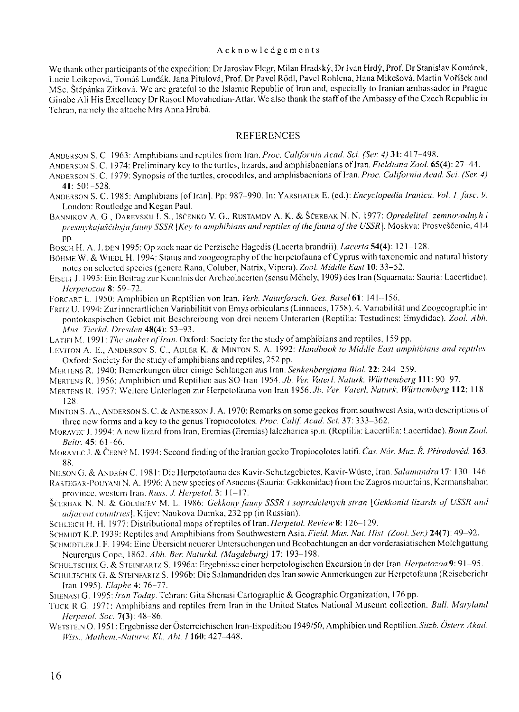#### Acknowledgements

We thank other participants of the expedition: Dr Jaroslav Flegr, Milan Hradský, Dr Ivan Hrdý, Prof. Dr Stanislav Komárek, Lucic Leikepová, Tomáš Lundák, Jana Pitulová, Prof. Dr Pavel Rödl, Pavel Rohlena, Hana Mikešová, Martin Voříšek and MSc. Štěpánka Zitková. We are grateful to the Islamic Republic of Iran and, especially to Iranian ambassador in Prague Ginabe Ali His Excellency Dr Rasoul Movahedian-Attar. We also thank the staff of the Ambassy of the Czech Republic in Tehran, namely the attache Mrs Anna Hrubá.

#### **REFERENCES**

- ANDERSON S. C. 1963: Amphibians and reptiles from Iran. Proc. California Acad. Sci. (Ser. 4) 31: 417-498.
- ANDERSON S. C. 1974: Preliminary key to the turtles, lizards, and amphisbacnians of Iran. Fieldiana Zool. 65(4): 27–44.
- ANDERSON S. C. 1979: Synopsis of the turtles, crocodiles, and amphisbaenians of Iran. Proc. California Acad. Sci. (Ser. 4) 41: 501-528.
- ANDERSON S. C. 1985: Amphibians [of Iran]. Pp: 987-990. In: YARSHATER E. (ed.): Encyclopedia Iranica. Vol. 1, fasc. 9. London: Routledge and Kegan Paul.
- BANNIKOV A. G., DAREVSKIJ I. S., IŠČENKO V. G., RUSTAMOV A. K. & ŠČERBAK N. N. 1977: Opredelitel' zemnovodnyh i presmykajuščihsja fauny SSSR [Key to amphibians and reptiles of the fauna of the USSR]. Moskva: Prosveščenic, 414 pp.
- BOSCH H. A. J. DEN 1995: Op zoek naar de Perzische Hagedis (Lacerta brandtii). Lacerta 54(4): 121-128.
- BÖHME W. & WIEDL H. 1994: Status and zoogcography of the herpetofauna of Cyprus with taxonomic and natural history notes on selected species (genera Rana, Coluber, Natrix, Vipera). Zool. Middle East 10: 33-52.
- EISELT J. 1995: Ein Beitrag zur Kenntnis der Archeolacerten (sensu Méhely, 1909) des Iran (Squamata: Sauria: Lacertidae). Herpetozoa 8: 59-72.
- FORCART L. 1950: Amphibien un Reptilien von Iran. Verh. Naturforsch. Ges. Basel 61: 141-156.
- FRITZ U. 1994: Zur innerartlichen Variabilität von Emys orbicularis (Linnacus, 1758). 4. Variabilität und Zoogeographie im pontokaspischen Gebiet mit Beschreibung von drei neuem Unterarten (Reptilia: Testudines: Emydidae). Zool. Abh. Mus. Tierkd. Dresden 48(4): 53-93.
- LATIFLM. 1991: The snakes of Iran. Oxford: Society for the study of amphibians and reptiles, 159 pp.
- LEVITON A. E., ANDERSON S. C., ADLER K. & MINTON S. A. 1992: Handbook to Middle East amphibians and reptiles. Oxford: Society for the study of amphibians and reptiles, 252 pp.
- MERTENS R. 1940: Bemerkungen über einige Schlangen aus Iran. Senkenbergiana Biol. 22: 244-259.
- MERTENS R. 1956; Amphibien und Reptilien aus SO-Iran 1954. Jb. Ver. Vaterl. Naturk. Württemberg 111: 90-97.
- MERTENS R. 1957: Weitere Unterlagen zur Herpetofauna von Iran 1956. Jb. Ver. Vaterl. Naturk. Württemberg 112: 118 128.
- MINTON S. A., ANDERSON S. C. & ANDERSON J. A. 1970: Remarks on some geckos from southwest Asia, with descriptions of three new forms and a key to the genus Tropiocolotes. Proc. Calif. Acad. Sci. 37: 333-362.
- MORAVEC J. 1994: A new lizard from Iran, Eremias (Eremias) lalezhariea sp.n. (Reptilia: Lacertilia: Lacertidae). Bonn Zool. Beitr. 45: 61-66.
- MORAVEC J. & ČERNÝ M. 1994: Second finding of the Iranian gecko Tropiocolotes latifi. Čas. Nár. Muz. Ř. Přírodověd. 163: 88.
- NILSON G. & ANDRÉN C. 1981: Die Herpetofauna des Kavir-Schutzgebietes, Kavir-Wüste, Iran. Salamandra 17: 130--146.
- RASTEGAR-POUYANI N. A. 1996: A new species of Asaccus (Sauria: Gekkonidae) from the Zagros mountains, Kermanshahan province, western Iran. Russ. J. Herpetol. 3: 11-17.
- ŠČERBAK N. N. & GOLUBJEV M. L. 1986: Gekkony fauny SSSR i sopredelenych stran [Gekkonid lizards of USSR and *adiacent countries*!. Kijev: Naukova Dumka, 232 pp (in Russian).
- SCHLEICH H. H. 1977: Distributional maps of reptiles of Iran. Herpetol. Review 8: 126-129.
- SCHMIDT K.P. 1939: Reptiles and Amphibians from Southwestern Asia. Field. Mus. Nat. Hist. (Zool. Ser.) 24(7): 49-92.
- SCHMIDTLER J. F. 1994: Eine Übersicht neuerer Untersuchungen und Beobachtungen an der vorderasiatischen Molchgattung Neurergus Cope, 1862. Abh. Ber. Naturkd. (Magdeburg) 17: 193-198.
- SCHULTSCHIK G. & STEINFARTZ S. 1996a: Ergebnisse einer herpetologischen Excursion in der Iran. Herpetozoa 9: 91-95.
- SCHULTSCHIK G. & STEINFARTZ S. 1996b: Die Salamandriden des Iran sowie Anmerkungen zur Herpetofauna (Reisebericht Iran 1995). Elaphe 4: 76-77.
- SHENASI G. 1995: Iran Today. Tchran: Gita Shenasi Cartographic & Geographic Organization, 176 pp.
- TUCK R.G. 1971: Amphibians and reptiles from Iran in the United States National Museum collection. Bull. Maryland Herpetol. Soc. 7(3): 48-86.
- WETSTEIN O. 1951: Ergebnisse der Österreichischen Iran-Expedition 1949/50, Amphibien und Reptilien. Sitzb. Österr. Akad. Wiss., Mathem.-Naturw. Kl., Abt. 1 160: 427-448.